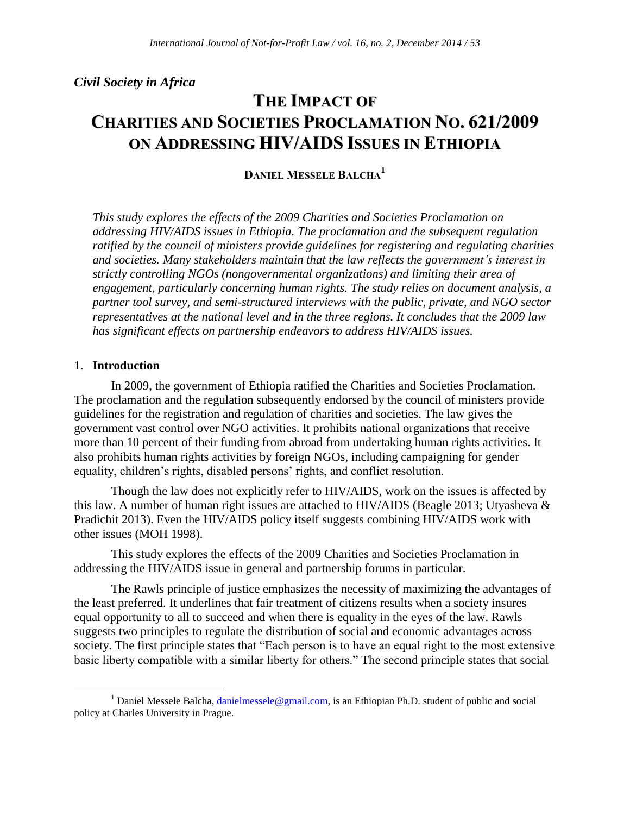*Civil Society in Africa* 

# **THE IMPACT OF CHARITIES AND SOCIETIES PROCLAMATION NO. 621/2009 ON ADDRESSING HIV/AIDS ISSUES IN ETHIOPIA**

**DANIEL MESSELE BALCHA<sup>1</sup>**

*This study explores the effects of the 2009 Charities and Societies Proclamation on addressing HIV/AIDS issues in Ethiopia. The proclamation and the subsequent regulation ratified by the council of ministers provide guidelines for registering and regulating charities and societies. Many stakeholders maintain that the law reflects the government's interest in strictly controlling NGOs (nongovernmental organizations) and limiting their area of engagement, particularly concerning human rights. The study relies on document analysis, a partner tool survey, and semi-structured interviews with the public, private, and NGO sector representatives at the national level and in the three regions. It concludes that the 2009 law has significant effects on partnership endeavors to address HIV/AIDS issues.* 

## 1. **Introduction**

 $\overline{a}$ 

In 2009, the government of Ethiopia ratified the Charities and Societies Proclamation. The proclamation and the regulation subsequently endorsed by the council of ministers provide guidelines for the registration and regulation of charities and societies. The law gives the government vast control over NGO activities. It prohibits national organizations that receive more than 10 percent of their funding from abroad from undertaking human rights activities. It also prohibits human rights activities by foreign NGOs, including campaigning for gender equality, children's rights, disabled persons' rights, and conflict resolution.

Though the law does not explicitly refer to HIV/AIDS, work on the issues is affected by this law. A number of human right issues are attached to HIV/AIDS (Beagle 2013; Utyasheva & Pradichit 2013). Even the HIV/AIDS policy itself suggests combining HIV/AIDS work with other issues (MOH 1998).

This study explores the effects of the 2009 Charities and Societies Proclamation in addressing the HIV/AIDS issue in general and partnership forums in particular.

The Rawls principle of justice emphasizes the necessity of maximizing the advantages of the least preferred. It underlines that fair treatment of citizens results when a society insures equal opportunity to all to succeed and when there is equality in the eyes of the law. Rawls suggests two principles to regulate the distribution of social and economic advantages across society. The first principle states that "Each person is to have an equal right to the most extensive basic liberty compatible with a similar liberty for others." The second principle states that social

<sup>&</sup>lt;sup>1</sup> Daniel Messele Balcha, danielmessele @gmail.com, is an Ethiopian Ph.D. student of public and social policy at Charles University in Prague.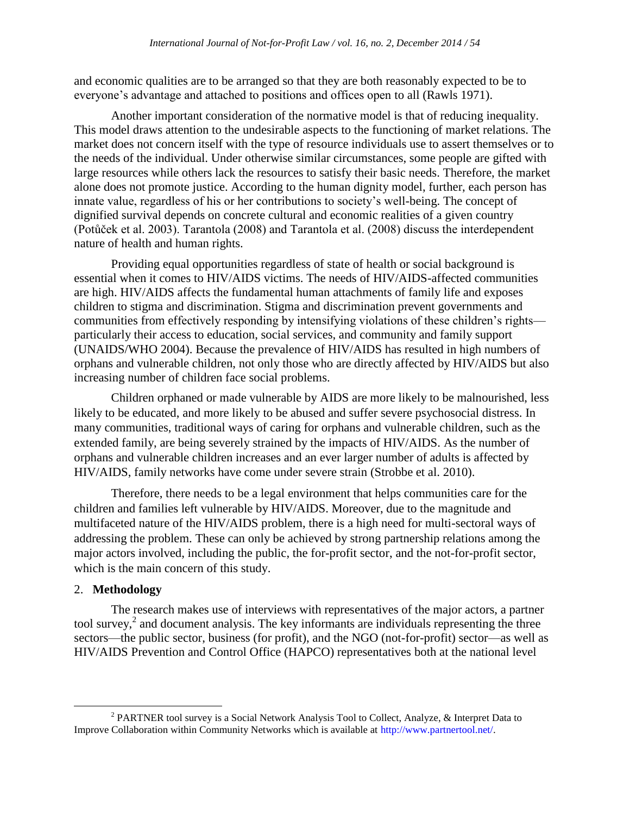and economic qualities are to be arranged so that they are both reasonably expected to be to everyone's advantage and attached to positions and offices open to all (Rawls 1971).

Another important consideration of the normative model is that of reducing inequality. This model draws attention to the undesirable aspects to the functioning of market relations. The market does not concern itself with the type of resource individuals use to assert themselves or to the needs of the individual. Under otherwise similar circumstances, some people are gifted with large resources while others lack the resources to satisfy their basic needs. Therefore, the market alone does not promote justice. According to the human dignity model, further, each person has innate value, regardless of his or her contributions to society's well-being. The concept of dignified survival depends on concrete cultural and economic realities of a given country (Potůček et al. 2003). Tarantola (2008) and Tarantola et al. (2008) discuss the interdependent nature of health and human rights.

Providing equal opportunities regardless of state of health or social background is essential when it comes to HIV/AIDS victims. The needs of HIV/AIDS-affected communities are high. HIV/AIDS affects the fundamental human attachments of family life and exposes children to stigma and discrimination. Stigma and discrimination prevent governments and communities from effectively responding by intensifying violations of these children's rights particularly their access to education, social services, and community and family support (UNAIDS/WHO 2004). Because the prevalence of HIV/AIDS has resulted in high numbers of orphans and vulnerable children, not only those who are directly affected by HIV/AIDS but also increasing number of children face social problems.

Children orphaned or made vulnerable by AIDS are more likely to be malnourished, less likely to be educated, and more likely to be abused and suffer severe psychosocial distress. In many communities, traditional ways of caring for orphans and vulnerable children, such as the extended family, are being severely strained by the impacts of HIV/AIDS. As the number of orphans and vulnerable children increases and an ever larger number of adults is affected by HIV/AIDS, family networks have come under severe strain (Strobbe et al. 2010).

Therefore, there needs to be a legal environment that helps communities care for the children and families left vulnerable by HIV/AIDS. Moreover, due to the magnitude and multifaceted nature of the HIV/AIDS problem, there is a high need for multi-sectoral ways of addressing the problem. These can only be achieved by strong partnership relations among the major actors involved, including the public, the for-profit sector, and the not-for-profit sector, which is the main concern of this study.

#### 2. **Methodology**

 $\overline{a}$ 

The research makes use of interviews with representatives of the major actors, a partner tool survey, $2$  and document analysis. The key informants are individuals representing the three sectors—the public sector, business (for profit), and the NGO (not-for-profit) sector—as well as HIV/AIDS Prevention and Control Office (HAPCO) representatives both at the national level

<sup>&</sup>lt;sup>2</sup> PARTNER tool survey is a Social Network Analysis Tool to Collect, Analyze, & Interpret Data to Improve Collaboration within Community Networks which is available at [http://www.partnertool.net/.](http://www.partnertool.net/)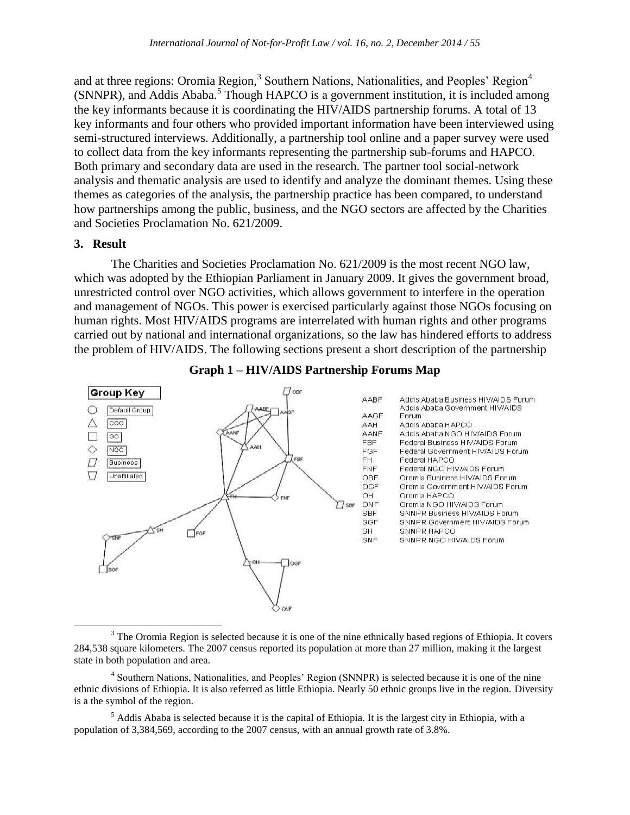and at three regions: Oromia Region,<sup>3</sup> Southern Nations, Nationalities, and Peoples' Region<sup>4</sup> (SNNPR), and Addis Ababa.<sup>5</sup> Though HAPCO is a government institution, it is included among the key informants because it is coordinating the HIV/AIDS partnership forums. A total of 13 key informants and four others who provided important information have been interviewed using semi-structured interviews. Additionally, a partnership tool online and a paper survey were used to collect data from the key informants representing the partnership sub-forums and HAPCO. Both primary and secondary data are used in the research. The partner tool social-network analysis and thematic analysis are used to identify and analyze the dominant themes. Using these themes as categories of the analysis, the partnership practice has been compared, to understand how partnerships among the public, business, and the NGO sectors are affected by the Charities and Societies Proclamation No. 621/2009.

#### **3. Result**

The Charities and Societies Proclamation No. 621/2009 is the most recent NGO law, which was adopted by the Ethiopian Parliament in January 2009. It gives the government broad, unrestricted control over NGO activities, which allows government to interfere in the operation and management of NGOs. This power is exercised particularly against those NGOs focusing on human rights. Most HIV/AIDS programs are interrelated with human rights and other programs carried out by national and international organizations, so the law has hindered efforts to address the problem of HIV/AIDS. The following sections present a short description of the partnership



## **Graph 1 – HIV/AIDS Partnership Forums Map**

<sup>&</sup>lt;sup>3</sup> The Oromia Region is selected because it is one of the nine ethnically based regions of Ethiopia. It covers 284,538 square kilometers. The 2007 census reported its population at more than 27 million, making it the largest state in both population and area.

<sup>&</sup>lt;sup>4</sup> Southern Nations, Nationalities, and Peoples' Region (SNNPR) is selected because it is one of the nine ethnic divisions of Ethiopia. It is also referred as little Ethiopia. Nearly 50 ethnic groups live in the region. Diversity is a the symbol of the region.

 $<sup>5</sup>$  Addis Ababa is selected because it is the capital of Ethiopia. It is the largest city in Ethiopia, with a</sup> population of 3,384,569, according to the 2007 census, with an annual growth rate of 3.8%.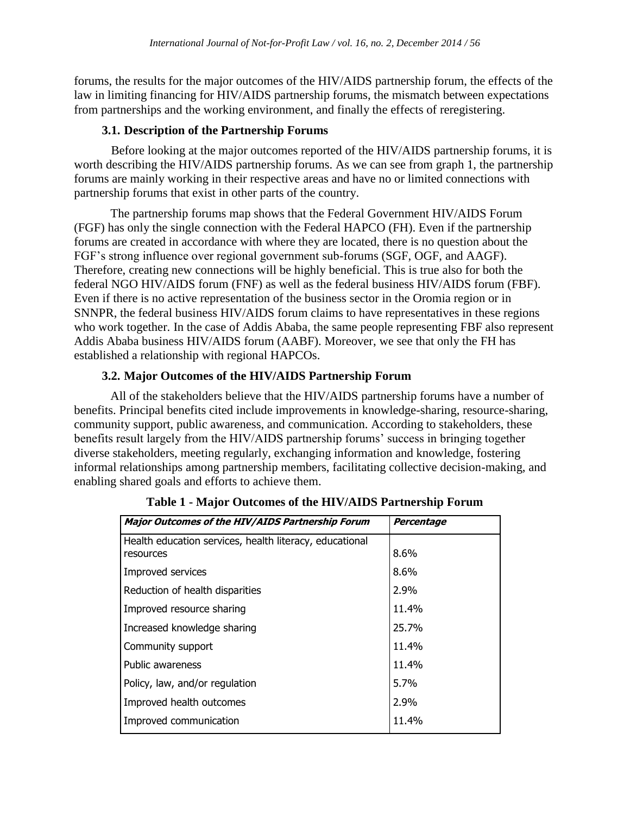forums, the results for the major outcomes of the HIV/AIDS partnership forum, the effects of the law in limiting financing for HIV/AIDS partnership forums, the mismatch between expectations from partnerships and the working environment, and finally the effects of reregistering.

## **3.1. Description of the Partnership Forums**

Before looking at the major outcomes reported of the HIV/AIDS partnership forums, it is worth describing the HIV/AIDS partnership forums. As we can see from graph 1, the partnership forums are mainly working in their respective areas and have no or limited connections with partnership forums that exist in other parts of the country.

The partnership forums map shows that the Federal Government HIV/AIDS Forum (FGF) has only the single connection with the Federal HAPCO (FH). Even if the partnership forums are created in accordance with where they are located, there is no question about the FGF's strong influence over regional government sub-forums (SGF, OGF, and AAGF). Therefore, creating new connections will be highly beneficial. This is true also for both the federal NGO HIV/AIDS forum (FNF) as well as the federal business HIV/AIDS forum (FBF). Even if there is no active representation of the business sector in the Oromia region or in SNNPR, the federal business HIV/AIDS forum claims to have representatives in these regions who work together. In the case of Addis Ababa, the same people representing FBF also represent Addis Ababa business HIV/AIDS forum (AABF). Moreover, we see that only the FH has established a relationship with regional HAPCOs.

# **3.2. Major Outcomes of the HIV/AIDS Partnership Forum**

All of the stakeholders believe that the HIV/AIDS partnership forums have a number of benefits. Principal benefits cited include improvements in knowledge-sharing, resource-sharing, community support, public awareness, and communication. According to stakeholders, these benefits result largely from the HIV/AIDS partnership forums' success in bringing together diverse stakeholders, meeting regularly, exchanging information and knowledge, fostering informal relationships among partnership members, facilitating collective decision-making, and enabling shared goals and efforts to achieve them.

| <b>Major Outcomes of the HIV/AIDS Partnership Forum</b> | Percentage |
|---------------------------------------------------------|------------|
| Health education services, health literacy, educational |            |
| resources                                               | 8.6%       |
| Improved services                                       | 8.6%       |
| Reduction of health disparities                         | 2.9%       |
| Improved resource sharing                               | 11.4%      |
| Increased knowledge sharing                             | 25.7%      |
| Community support                                       | 11.4%      |
| Public awareness                                        | 11.4%      |
| Policy, law, and/or regulation                          | 5.7%       |
| Improved health outcomes                                | 2.9%       |
| Improved communication                                  | 11.4%      |

**Table 1 - Major Outcomes of the HIV/AIDS Partnership Forum**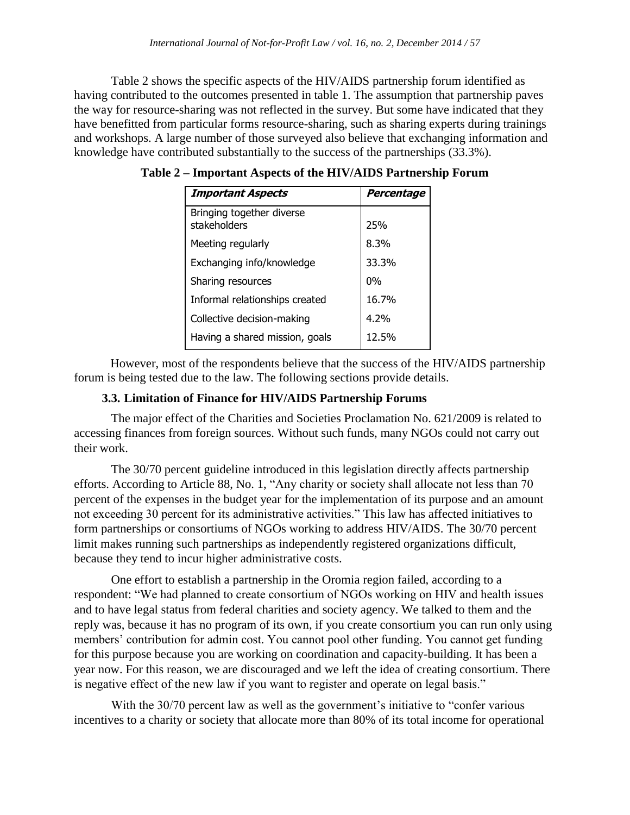Table 2 shows the specific aspects of the HIV/AIDS partnership forum identified as having contributed to the outcomes presented in table 1. The assumption that partnership paves the way for resource-sharing was not reflected in the survey. But some have indicated that they have benefitted from particular forms resource-sharing, such as sharing experts during trainings and workshops. A large number of those surveyed also believe that exchanging information and knowledge have contributed substantially to the success of the partnerships (33.3%).

| <b>Important Aspects</b>                  | Percentage |
|-------------------------------------------|------------|
| Bringing together diverse<br>stakeholders | 25%        |
| Meeting regularly                         | 8.3%       |
| Exchanging info/knowledge                 | 33.3%      |
| Sharing resources                         | $0\%$      |
| Informal relationships created            | 16.7%      |
| Collective decision-making                | 4.2%       |
| Having a shared mission, goals            | 12.5%      |

**Table 2 – Important Aspects of the HIV/AIDS Partnership Forum**

However, most of the respondents believe that the success of the HIV/AIDS partnership forum is being tested due to the law. The following sections provide details.

## **3.3. Limitation of Finance for HIV/AIDS Partnership Forums**

The major effect of the Charities and Societies Proclamation No. 621/2009 is related to accessing finances from foreign sources. Without such funds, many NGOs could not carry out their work.

The 30/70 percent guideline introduced in this legislation directly affects partnership efforts. According to Article 88, No. 1, "Any charity or society shall allocate not less than 70 percent of the expenses in the budget year for the implementation of its purpose and an amount not exceeding 30 percent for its administrative activities." This law has affected initiatives to form partnerships or consortiums of NGOs working to address HIV/AIDS. The 30/70 percent limit makes running such partnerships as independently registered organizations difficult, because they tend to incur higher administrative costs.

One effort to establish a partnership in the Oromia region failed, according to a respondent: "We had planned to create consortium of NGOs working on HIV and health issues and to have legal status from federal charities and society agency. We talked to them and the reply was, because it has no program of its own, if you create consortium you can run only using members' contribution for admin cost. You cannot pool other funding. You cannot get funding for this purpose because you are working on coordination and capacity-building. It has been a year now. For this reason, we are discouraged and we left the idea of creating consortium. There is negative effect of the new law if you want to register and operate on legal basis."

With the 30/70 percent law as well as the government's initiative to "confer various incentives to a charity or society that allocate more than 80% of its total income for operational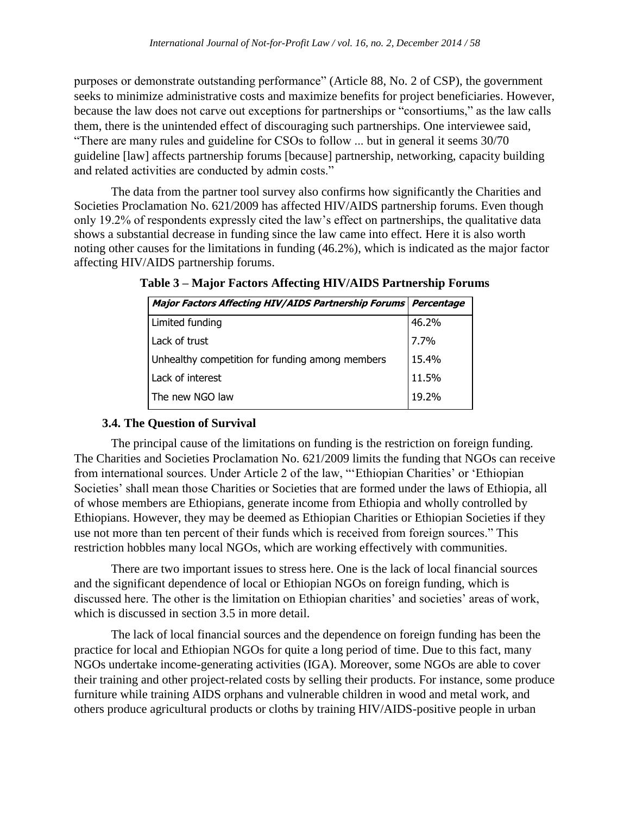purposes or demonstrate outstanding performance" (Article 88, No. 2 of CSP), the government seeks to minimize administrative costs and maximize benefits for project beneficiaries. However, because the law does not carve out exceptions for partnerships or "consortiums," as the law calls them, there is the unintended effect of discouraging such partnerships. One interviewee said, "There are many rules and guideline for CSOs to follow ... but in general it seems 30/70 guideline [law] affects partnership forums [because] partnership, networking, capacity building and related activities are conducted by admin costs."

The data from the partner tool survey also confirms how significantly the Charities and Societies Proclamation No. 621/2009 has affected HIV/AIDS partnership forums. Even though only 19.2% of respondents expressly cited the law's effect on partnerships, the qualitative data shows a substantial decrease in funding since the law came into effect. Here it is also worth noting other causes for the limitations in funding (46.2%), which is indicated as the major factor affecting HIV/AIDS partnership forums.

| Major Factors Affecting HIV/AIDS Partnership Forums Percentage |       |
|----------------------------------------------------------------|-------|
| Limited funding                                                | 46.2% |
| Lack of trust                                                  | 7.7%  |
| Unhealthy competition for funding among members                | 15.4% |
| Lack of interest                                               | 11.5% |
| The new NGO law                                                | 19.2% |

**Table 3 – Major Factors Affecting HIV/AIDS Partnership Forums**

# **3.4. The Question of Survival**

The principal cause of the limitations on funding is the restriction on foreign funding. The Charities and Societies Proclamation No. 621/2009 limits the funding that NGOs can receive from international sources. Under Article 2 of the law, "'Ethiopian Charities' or 'Ethiopian Societies' shall mean those Charities or Societies that are formed under the laws of Ethiopia, all of whose members are Ethiopians, generate income from Ethiopia and wholly controlled by Ethiopians. However, they may be deemed as Ethiopian Charities or Ethiopian Societies if they use not more than ten percent of their funds which is received from foreign sources." This restriction hobbles many local NGOs, which are working effectively with communities.

There are two important issues to stress here. One is the lack of local financial sources and the significant dependence of local or Ethiopian NGOs on foreign funding, which is discussed here. The other is the limitation on Ethiopian charities' and societies' areas of work, which is discussed in section 3.5 in more detail.

The lack of local financial sources and the dependence on foreign funding has been the practice for local and Ethiopian NGOs for quite a long period of time. Due to this fact, many NGOs undertake income-generating activities (IGA). Moreover, some NGOs are able to cover their training and other project-related costs by selling their products. For instance, some produce furniture while training AIDS orphans and vulnerable children in wood and metal work, and others produce agricultural products or cloths by training HIV/AIDS-positive people in urban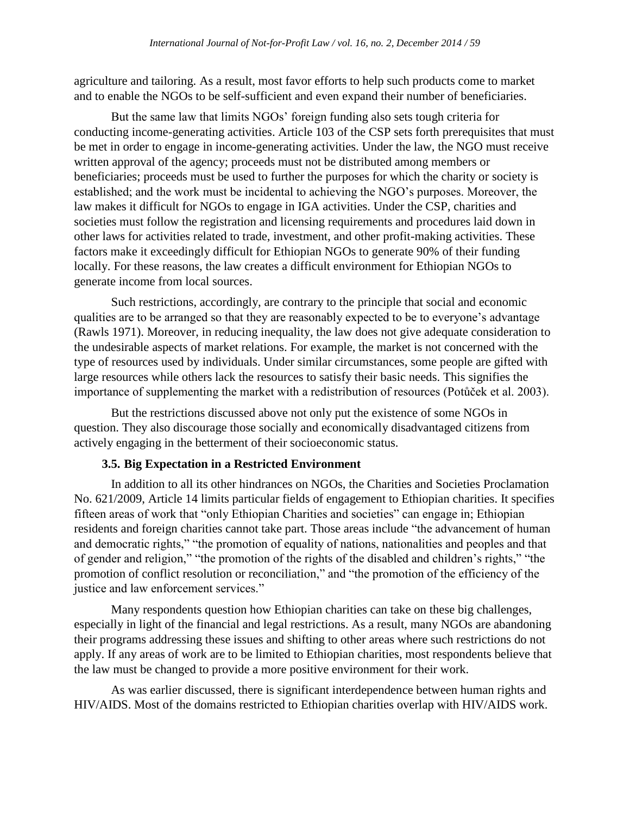agriculture and tailoring. As a result, most favor efforts to help such products come to market and to enable the NGOs to be self-sufficient and even expand their number of beneficiaries.

But the same law that limits NGOs' foreign funding also sets tough criteria for conducting income-generating activities. Article 103 of the CSP sets forth prerequisites that must be met in order to engage in income-generating activities. Under the law, the NGO must receive written approval of the agency; proceeds must not be distributed among members or beneficiaries; proceeds must be used to further the purposes for which the charity or society is established; and the work must be incidental to achieving the NGO's purposes. Moreover, the law makes it difficult for NGOs to engage in IGA activities. Under the CSP, charities and societies must follow the registration and licensing requirements and procedures laid down in other laws for activities related to trade, investment, and other profit-making activities. These factors make it exceedingly difficult for Ethiopian NGOs to generate 90% of their funding locally. For these reasons, the law creates a difficult environment for Ethiopian NGOs to generate income from local sources.

Such restrictions, accordingly, are contrary to the principle that social and economic qualities are to be arranged so that they are reasonably expected to be to everyone's advantage (Rawls 1971). Moreover, in reducing inequality, the law does not give adequate consideration to the undesirable aspects of market relations. For example, the market is not concerned with the type of resources used by individuals. Under similar circumstances, some people are gifted with large resources while others lack the resources to satisfy their basic needs. This signifies the importance of supplementing the market with a redistribution of resources (Potůček et al. 2003).

But the restrictions discussed above not only put the existence of some NGOs in question. They also discourage those socially and economically disadvantaged citizens from actively engaging in the betterment of their socioeconomic status.

## **3.5. Big Expectation in a Restricted Environment**

In addition to all its other hindrances on NGOs, the Charities and Societies Proclamation No. 621/2009, Article 14 limits particular fields of engagement to Ethiopian charities. It specifies fifteen areas of work that "only Ethiopian Charities and societies" can engage in; Ethiopian residents and foreign charities cannot take part. Those areas include "the advancement of human and democratic rights," "the promotion of equality of nations, nationalities and peoples and that of gender and religion," "the promotion of the rights of the disabled and children's rights," "the promotion of conflict resolution or reconciliation," and "the promotion of the efficiency of the justice and law enforcement services."

Many respondents question how Ethiopian charities can take on these big challenges, especially in light of the financial and legal restrictions. As a result, many NGOs are abandoning their programs addressing these issues and shifting to other areas where such restrictions do not apply. If any areas of work are to be limited to Ethiopian charities, most respondents believe that the law must be changed to provide a more positive environment for their work.

As was earlier discussed, there is significant interdependence between human rights and HIV/AIDS. Most of the domains restricted to Ethiopian charities overlap with HIV/AIDS work.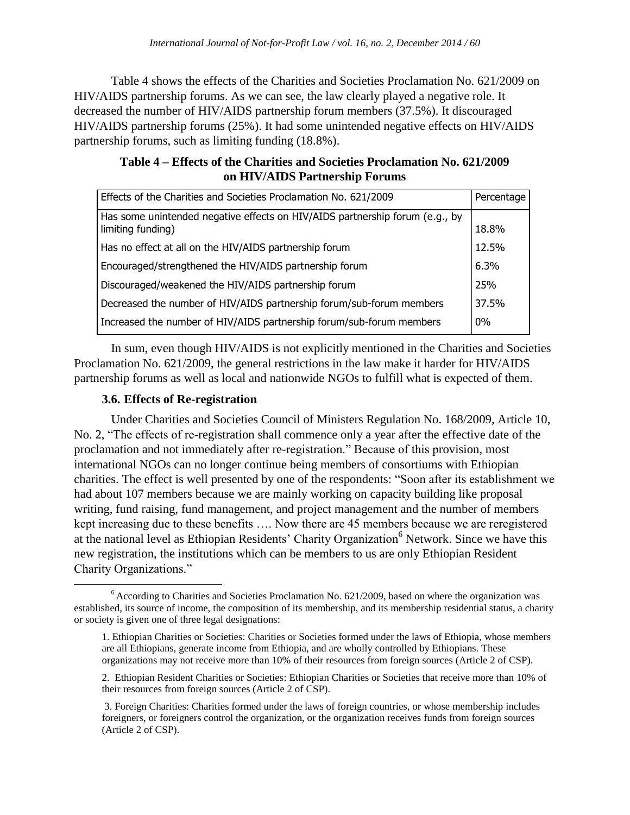Table 4 shows the effects of the Charities and Societies Proclamation No. 621/2009 on HIV/AIDS partnership forums. As we can see, the law clearly played a negative role. It decreased the number of HIV/AIDS partnership forum members (37.5%). It discouraged HIV/AIDS partnership forums (25%). It had some unintended negative effects on HIV/AIDS partnership forums, such as limiting funding (18.8%).

| Table 4 – Effects of the Charities and Societies Proclamation No. 621/2009 |  |
|----------------------------------------------------------------------------|--|
| on HIV/AIDS Partnership Forums                                             |  |

| Effects of the Charities and Societies Proclamation No. 621/2009                                  | Percentage |
|---------------------------------------------------------------------------------------------------|------------|
| Has some unintended negative effects on HIV/AIDS partnership forum (e.g., by<br>limiting funding) | 18.8%      |
| Has no effect at all on the HIV/AIDS partnership forum                                            | 12.5%      |
| Encouraged/strengthened the HIV/AIDS partnership forum                                            | 6.3%       |
| Discouraged/weakened the HIV/AIDS partnership forum                                               | 25%        |
| Decreased the number of HIV/AIDS partnership forum/sub-forum members                              | 37.5%      |
| Increased the number of HIV/AIDS partnership forum/sub-forum members                              | 0%         |

In sum, even though HIV/AIDS is not explicitly mentioned in the Charities and Societies Proclamation No. 621/2009, the general restrictions in the law make it harder for HIV/AIDS partnership forums as well as local and nationwide NGOs to fulfill what is expected of them.

# **3.6. Effects of Re-registration**

Under Charities and Societies Council of Ministers Regulation No. 168/2009, Article 10, No. 2, "The effects of re-registration shall commence only a year after the effective date of the proclamation and not immediately after re-registration." Because of this provision, most international NGOs can no longer continue being members of consortiums with Ethiopian charities. The effect is well presented by one of the respondents: "Soon after its establishment we had about 107 members because we are mainly working on capacity building like proposal writing, fund raising, fund management, and project management and the number of members kept increasing due to these benefits …. Now there are 45 members because we are reregistered at the national level as Ethiopian Residents' Charity Organization<sup>6</sup> Network. Since we have this new registration, the institutions which can be members to us are only Ethiopian Resident Charity Organizations."

 $\overline{a}$ <sup>6</sup> According to Charities and Societies Proclamation No. 621/2009, based on where the organization was established, its source of income, the composition of its membership, and its membership residential status, a charity or society is given one of three legal designations:

<sup>1.</sup> Ethiopian Charities or Societies: Charities or Societies formed under the laws of Ethiopia, whose members are all Ethiopians, generate income from Ethiopia, and are wholly controlled by Ethiopians. These organizations may not receive more than 10% of their resources from foreign sources (Article 2 of CSP).

<sup>2.</sup> Ethiopian Resident Charities or Societies: Ethiopian Charities or Societies that receive more than 10% of their resources from foreign sources (Article 2 of CSP).

<sup>3.</sup> Foreign Charities: Charities formed under the laws of foreign countries, or whose membership includes foreigners, or foreigners control the organization, or the organization receives funds from foreign sources (Article 2 of CSP).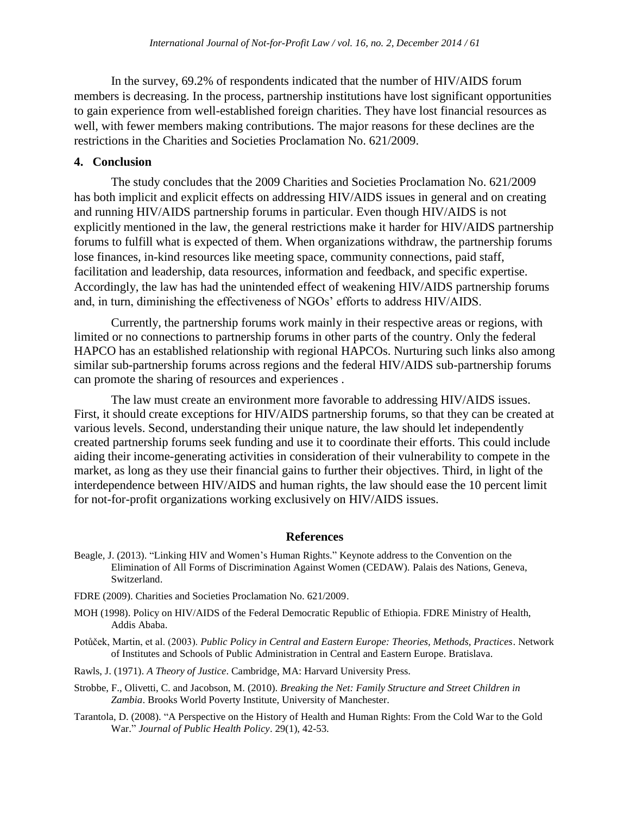In the survey, 69.2% of respondents indicated that the number of HIV/AIDS forum members is decreasing. In the process, partnership institutions have lost significant opportunities to gain experience from well-established foreign charities. They have lost financial resources as well, with fewer members making contributions. The major reasons for these declines are the restrictions in the Charities and Societies Proclamation No. 621/2009.

## **4. Conclusion**

The study concludes that the 2009 Charities and Societies Proclamation No. 621/2009 has both implicit and explicit effects on addressing HIV/AIDS issues in general and on creating and running HIV/AIDS partnership forums in particular. Even though HIV/AIDS is not explicitly mentioned in the law, the general restrictions make it harder for HIV/AIDS partnership forums to fulfill what is expected of them. When organizations withdraw, the partnership forums lose finances, in-kind resources like meeting space, community connections, paid staff, facilitation and leadership, data resources, information and feedback, and specific expertise. Accordingly, the law has had the unintended effect of weakening HIV/AIDS partnership forums and, in turn, diminishing the effectiveness of NGOs' efforts to address HIV/AIDS.

Currently, the partnership forums work mainly in their respective areas or regions, with limited or no connections to partnership forums in other parts of the country. Only the federal HAPCO has an established relationship with regional HAPCOs. Nurturing such links also among similar sub-partnership forums across regions and the federal HIV/AIDS sub-partnership forums can promote the sharing of resources and experiences .

The law must create an environment more favorable to addressing HIV/AIDS issues. First, it should create exceptions for HIV/AIDS partnership forums, so that they can be created at various levels. Second, understanding their unique nature, the law should let independently created partnership forums seek funding and use it to coordinate their efforts. This could include aiding their income-generating activities in consideration of their vulnerability to compete in the market, as long as they use their financial gains to further their objectives. Third, in light of the interdependence between HIV/AIDS and human rights, the law should ease the 10 percent limit for not-for-profit organizations working exclusively on HIV/AIDS issues.

## **References**

- Beagle, J. (2013). "Linking HIV and Women's Human Rights." Keynote address to the Convention on the Elimination of All Forms of Discrimination Against Women (CEDAW). Palais des Nations, Geneva, Switzerland.
- FDRE (2009). Charities and Societies Proclamation No. 621/2009.
- MOH (1998). Policy on HIV/AIDS of the Federal Democratic Republic of Ethiopia. FDRE Ministry of Health, Addis Ababa.
- Potůček, Martin, et al. (2003). *Public Policy in Central and Eastern Europe: Theories, Methods, Practices*. Network of Institutes and Schools of Public Administration in Central and Eastern Europe. Bratislava.
- Rawls, J. (1971). *A Theory of Justice*. Cambridge, MA: Harvard University Press.
- Strobbe, F., Olivetti, C. and Jacobson, M. (2010). *Breaking the Net: Family Structure and Street Children in Zambia*. Brooks World Poverty Institute, University of Manchester.
- Tarantola, D. (2008). "A Perspective on the History of Health and Human Rights: From the Cold War to the Gold War." *Journal of Public Health Policy*. 29(1), 42-53.